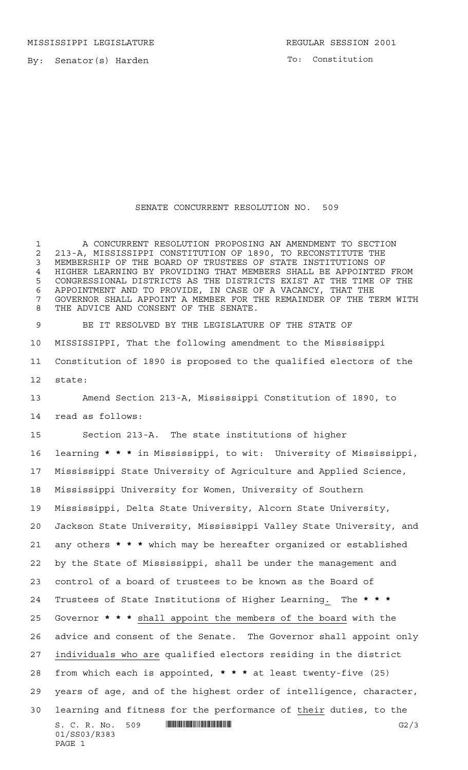MISSISSIPPI LEGISLATURE REGULAR SESSION 2001

To: Constitution

## SENATE CONCURRENT RESOLUTION NO. 509

 A CONCURRENT RESOLUTION PROPOSING AN AMENDMENT TO SECTION 213-A, MISSISSIPPI CONSTITUTION OF 1890, TO RECONSTITUTE THE MEMBERSHIP OF THE BOARD OF TRUSTEES OF STATE INSTITUTIONS OF HIGHER LEARNING BY PROVIDING THAT MEMBERS SHALL BE APPOINTED FROM CONGRESSIONAL DISTRICTS AS THE DISTRICTS EXIST AT THE TIME OF THE APPOINTMENT AND TO PROVIDE, IN CASE OF A VACANCY, THAT THE GOVERNOR SHALL APPOINT A MEMBER FOR THE REMAINDER OF THE TERM WITH THE ADVICE AND CONSENT OF THE SENATE.

 BE IT RESOLVED BY THE LEGISLATURE OF THE STATE OF MISSISSIPPI, That the following amendment to the Mississippi Constitution of 1890 is proposed to the qualified electors of the state:

 Amend Section 213-A, Mississippi Constitution of 1890, to read as follows:

Section 213-A. The state institutions of higher

S. C. R. No. 509 \*SS03/R383\* G2/3 01/SS03/R383 PAGE 1 learning **\*\*\*** in Mississippi, to wit: University of Mississippi, Mississippi State University of Agriculture and Applied Science, Mississippi University for Women, University of Southern Mississippi, Delta State University, Alcorn State University, Jackson State University, Mississippi Valley State University, and any others **\*\*\*** which may be hereafter organized or established by the State of Mississippi, shall be under the management and control of a board of trustees to be known as the Board of Trustees of State Institutions of Higher Learning. The **\*\*\*** Governor **\*\*\*** shall appoint the members of the board with the advice and consent of the Senate. The Governor shall appoint only individuals who are qualified electors residing in the district from which each is appointed, **\*\*\*** at least twenty-five (25) years of age, and of the highest order of intelligence, character, learning and fitness for the performance of their duties, to the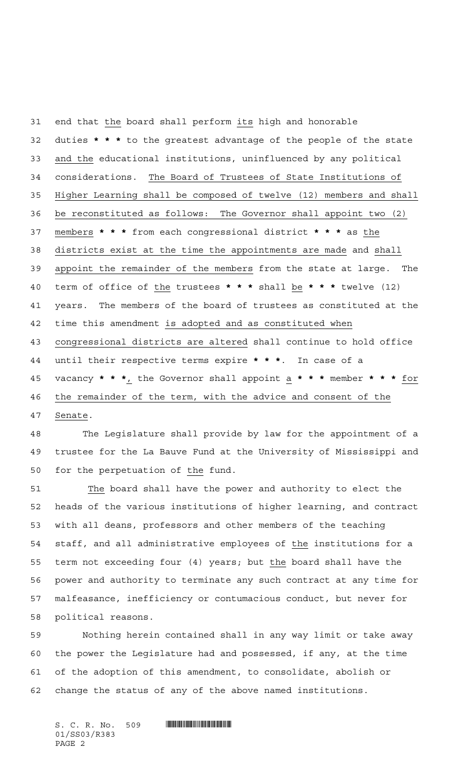end that the board shall perform its high and honorable duties **\*\*\*** to the greatest advantage of the people of the state and the educational institutions, uninfluenced by any political considerations. The Board of Trustees of State Institutions of Higher Learning shall be composed of twelve (12) members and shall be reconstituted as follows: The Governor shall appoint two (2) members **\*\*\*** from each congressional district **\*\*\*** as the districts exist at the time the appointments are made and shall appoint the remainder of the members from the state at large. The term of office of the trustees **\*\*\*** shall be **\*\*\*** twelve (12) years. The members of the board of trustees as constituted at the time this amendment is adopted and as constituted when congressional districts are altered shall continue to hold office until their respective terms expire **\*\*\***. In case of a vacancy **\*\*\***, the Governor shall appoint a **\*\*\*** member **\*\*\*** for the remainder of the term, with the advice and consent of the Senate.

 The Legislature shall provide by law for the appointment of a trustee for the La Bauve Fund at the University of Mississippi and for the perpetuation of the fund.

 The board shall have the power and authority to elect the heads of the various institutions of higher learning, and contract with all deans, professors and other members of the teaching staff, and all administrative employees of the institutions for a 55 term not exceeding four (4) years; but the board shall have the power and authority to terminate any such contract at any time for malfeasance, inefficiency or contumacious conduct, but never for political reasons.

 Nothing herein contained shall in any way limit or take away the power the Legislature had and possessed, if any, at the time of the adoption of this amendment, to consolidate, abolish or change the status of any of the above named institutions.

 $S. C. R. No. 509$  . The set of the set of  $S. C. R. N_O.$ 01/SS03/R383 PAGE 2